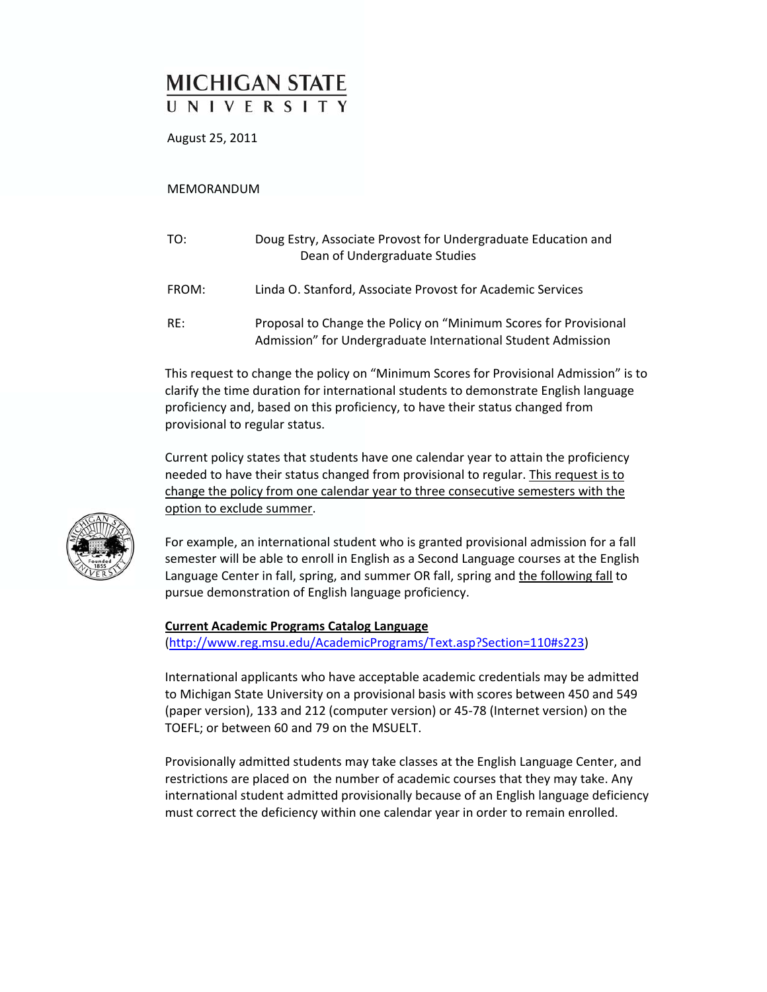# **MICHIGAN STATE** UNIVERSITY

August 25, 2011

MEMORANDUM

| TO:   | Doug Estry, Associate Provost for Undergraduate Education and<br>Dean of Undergraduate Studies                                   |
|-------|----------------------------------------------------------------------------------------------------------------------------------|
| FROM: | Linda O. Stanford, Associate Provost for Academic Services                                                                       |
| RF:   | Proposal to Change the Policy on "Minimum Scores for Provisional<br>Admission" for Undergraduate International Student Admission |

This request to change the policy on "Minimum Scores for Provisional Admission" is to clarify the time duration for international students to demonstrate English language proficiency and, based on this proficiency, to have their status changed from provisional to regular status.

Current policy states that students have one calendar year to attain the proficiency needed to have their status changed from provisional to regular. This request is to change the policy from one calendar year to three consecutive semesters with the option to exclude summer.



For example, an international student who is granted provisional admission for a fall semester will be able to enroll in English as a Second Language courses at the English Language Center in fall, spring, and summer OR fall, spring and the following fall to pursue demonstration of English language proficiency.

## **Current Academic Programs Catalog Language**

(http://www.reg.msu.edu/AcademicPrograms/Text.asp?Section=110#s223)

International applicants who have acceptable academic credentials may be admitted to Michigan State University on a provisional basis with scores between 450 and 549 (paper version), 133 and 212 (computer version) or 45‐78 (Internet version) on the TOEFL; or between 60 and 79 on the MSUELT.

Provisionally admitted students may take classes at the English Language Center, and restrictions are placed on the number of academic courses that they may take. Any international student admitted provisionally because of an English language deficiency must correct the deficiency within one calendar year in order to remain enrolled.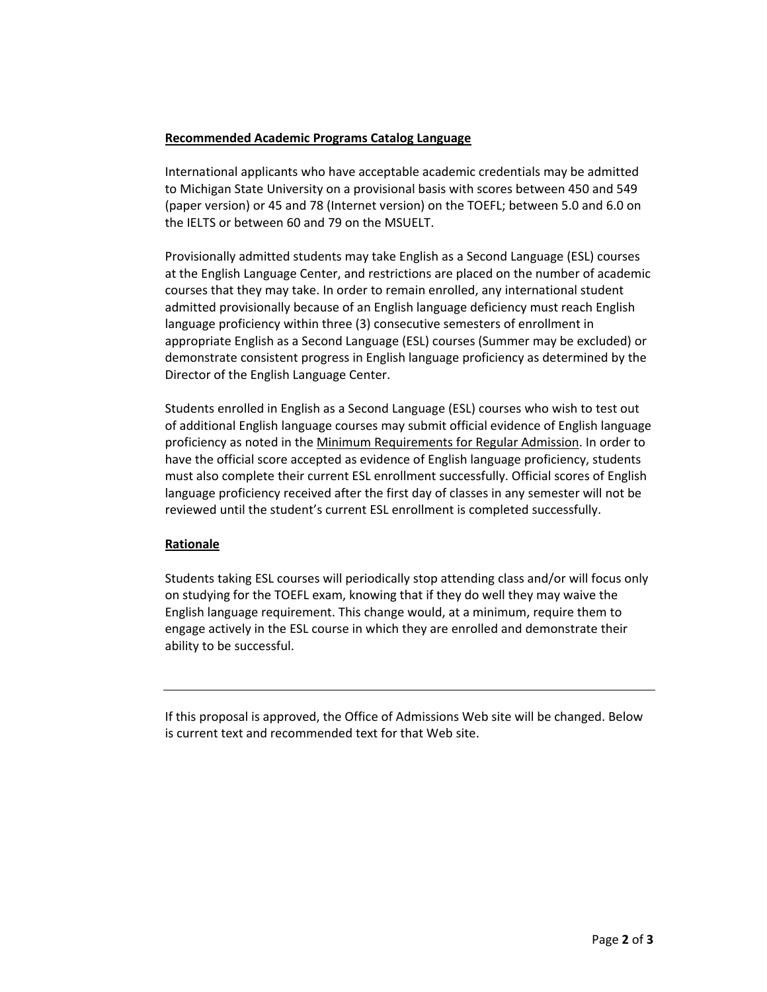# **Recommended Academic Programs Catalog Language**

International applicants who have acceptable academic credentials may be admitted to Michigan State University on a provisional basis with scores between 450 and 549 (paper version) or 45 and 78 (Internet version) on the TOEFL; between 5.0 and 6.0 on the IELTS or between 60 and 79 on the MSUELT.

Provisionally admitted students may take English as a Second Language (ESL) courses at the English Language Center, and restrictions are placed on the number of academic courses that they may take. In order to remain enrolled, any international student admitted provisionally because of an English language deficiency must reach English language proficiency within three (3) consecutive semesters of enrollment in appropriate English as a Second Language (ESL) courses (Summer may be excluded) or demonstrate consistent progress in English language proficiency as determined by the Director of the English Language Center.

Students enrolled in English as a Second Language (ESL) courses who wish to test out of additional English language courses may submit official evidence of English language proficiency as noted in the Minimum Requirements for Regular Admission. In order to have the official score accepted as evidence of English language proficiency, students must also complete their current ESL enrollment successfully. Official scores of English language proficiency received after the first day of classes in any semester will not be reviewed until the student's current ESL enrollment is completed successfully.

# **Rationale**

Students taking ESL courses will periodically stop attending class and/or will focus only on studying for the TOEFL exam, knowing that if they do well they may waive the English language requirement. This change would, at a minimum, require them to engage actively in the ESL course in which they are enrolled and demonstrate their ability to be successful.

If this proposal is approved, the Office of Admissions Web site will be changed. Below is current text and recommended text for that Web site.